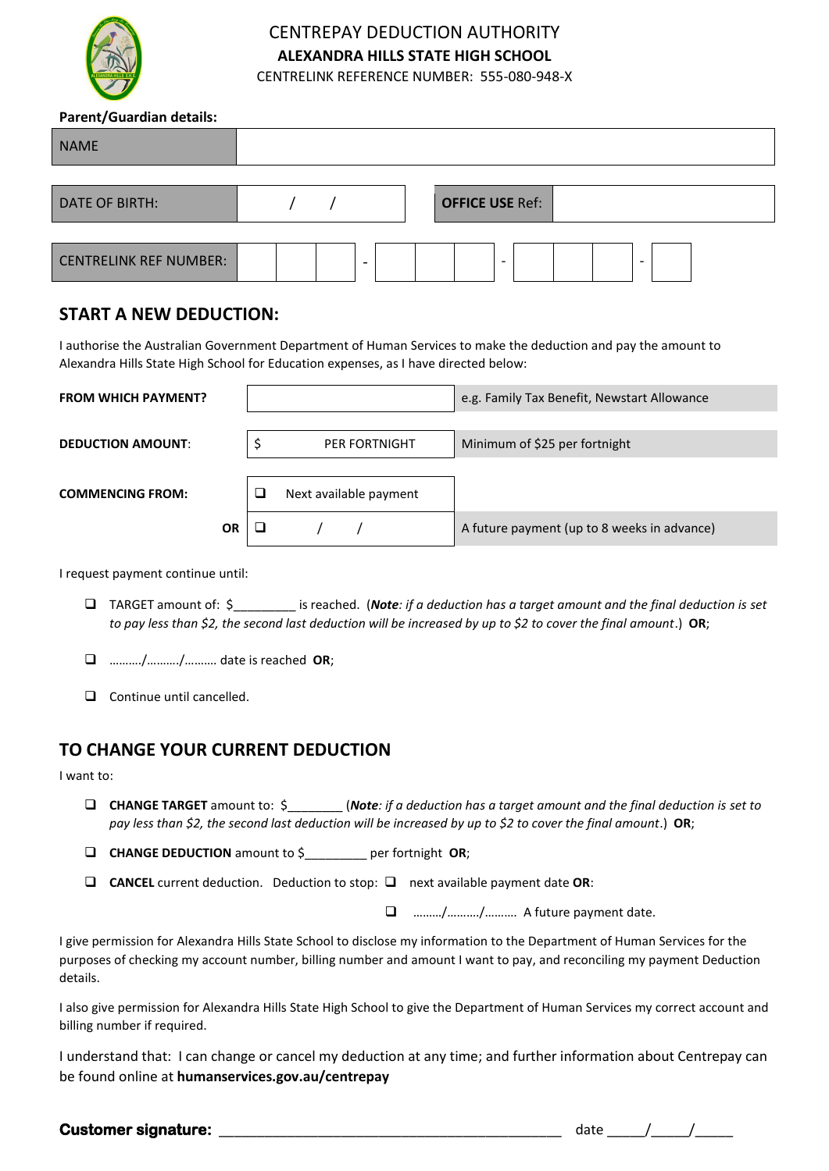

## CENTREPAY DEDUCTION AUTHORITY **ALEXANDRA HILLS STATE HIGH SCHOOL**

CENTRELINK REFERENCE NUMBER: 555-080-948-X

## **Parent/Guardian details:**

| <b>NAME</b>                   |                               |
|-------------------------------|-------------------------------|
|                               |                               |
| <b>DATE OF BIRTH:</b>         | <b>OFFICE USE Ref:</b>        |
|                               |                               |
| <b>CENTRELINK REF NUMBER:</b> | $\overline{\phantom{0}}$<br>- |

## **START A NEW DEDUCTION:**

I authorise the Australian Government Department of Human Services to make the deduction and pay the amount to Alexandra Hills State High School for Education expenses, as I have directed below:

| <b>FROM WHICH PAYMENT?</b> |   |                        | e.g. Family Tax Benefit, Newstart Allowance |
|----------------------------|---|------------------------|---------------------------------------------|
| <b>DEDUCTION AMOUNT:</b>   |   | <b>PER FORTNIGHT</b>   | Minimum of \$25 per fortnight               |
| <b>COMMENCING FROM:</b>    | ப | Next available payment |                                             |
| <b>OR</b>                  |   |                        | A future payment (up to 8 weeks in advance) |

I request payment continue until:

- ❑ TARGET amount of: \$\_\_\_\_\_\_\_\_\_ is reached. (*Note: if a deduction has a target amount and the final deduction is set to pay less than \$2, the second last deduction will be increased by up to \$2 to cover the final amount*.) **OR**;
- ❑ ………./………./………. date is reached **OR**;
- ❑ Continue until cancelled.

## **TO CHANGE YOUR CURRENT DEDUCTION**

I want to:

❑ **CHANGE TARGET** amount to: \$\_\_\_\_\_\_\_\_ (*Note: if a deduction has a target amount and the final deduction is set to pay less than \$2, the second last deduction will be increased by up to \$2 to cover the final amount*.) **OR**;

❑ **CHANGE DEDUCTION** amount to \$\_\_\_\_\_\_\_\_\_ per fortnight **OR**;

❑ **CANCEL** current deduction. Deduction to stop: ❑ next available payment date **OR**:

❑ ………/………./………. A future payment date.

I give permission for Alexandra Hills State School to disclose my information to the Department of Human Services for the purposes of checking my account number, billing number and amount I want to pay, and reconciling my payment Deduction details.

I also give permission for Alexandra Hills State High School to give the Department of Human Services my correct account and billing number if required.

I understand that: I can change or cancel my deduction at any time; and further information about Centrepay can be found online at **humanservices.gov.au/centrepay**

**Customer signature:** \_\_\_\_\_\_\_\_\_\_\_\_\_\_\_\_\_\_\_\_\_\_\_\_\_\_\_\_\_\_\_\_\_\_\_\_\_\_\_\_\_\_\_\_\_ date \_\_\_\_\_/\_\_\_\_\_/\_\_\_\_\_